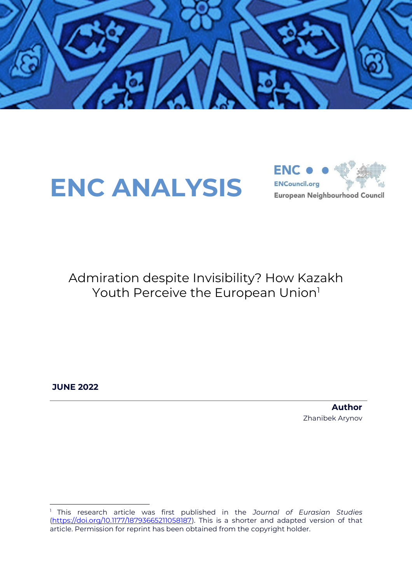





Admiration despite Invisibility? How Kazakh Youth Perceive the European Union<sup>1</sup>

**JUNE 2022**

**Author** Zhanibek Arynov

<sup>1</sup> This research article was first published in the *Journal of Eurasian Studies* [\(https://doi.org/10.1177/18793665211058187\)](https://doi.org/10.1177/18793665211058187). This is a shorter and adapted version of that article. Permission for reprint has been obtained from the copyright holder.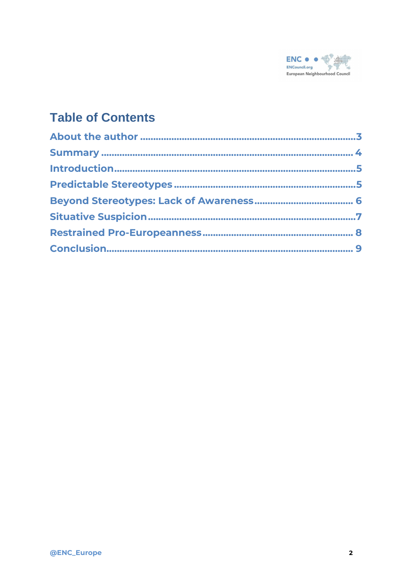

#### **Table of Contents**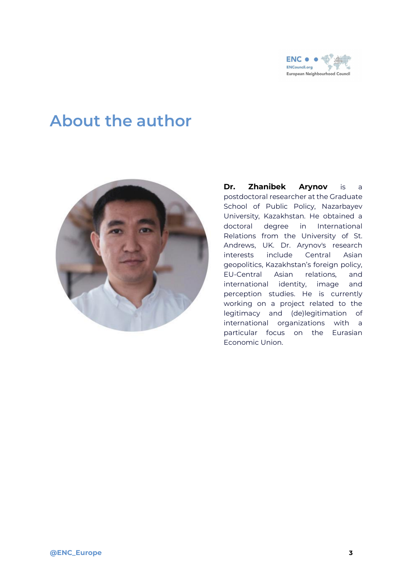

#### <span id="page-2-0"></span>**About the author**



**Dr. Zhanibek Arynov** is a postdoctoral researcher at the Graduate School of Public Policy, Nazarbayev University, Kazakhstan. He obtained a doctoral degree in International Relations from the University of St. Andrews, UK. Dr. Arynov's research interests include Central Asian geopolitics, Kazakhstan's foreign policy, EU-Central Asian relations, and international identity, image and perception studies. He is currently working on a project related to the legitimacy and (de)legitimation of international organizations with a particular focus on the Eurasian Economic Union.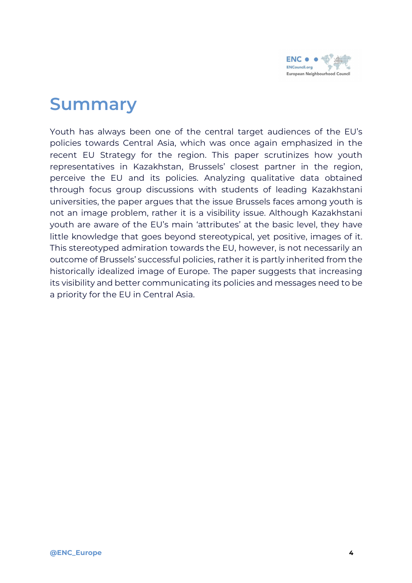

### <span id="page-3-0"></span>**Summary**

Youth has always been one of the central target audiences of the EU's policies towards Central Asia, which was once again emphasized in the recent EU Strategy for the region. This paper scrutinizes how youth representatives in Kazakhstan, Brussels' closest partner in the region, perceive the EU and its policies. Analyzing qualitative data obtained through focus group discussions with students of leading Kazakhstani universities, the paper argues that the issue Brussels faces among youth is not an image problem, rather it is a visibility issue. Although Kazakhstani youth are aware of the EU's main 'attributes' at the basic level, they have little knowledge that goes beyond stereotypical, yet positive, images of it. This stereotyped admiration towards the EU, however, is not necessarily an outcome of Brussels' successful policies, rather it is partly inherited from the historically idealized image of Europe. The paper suggests that increasing its visibility and better communicating its policies and messages need to be a priority for the EU in Central Asia.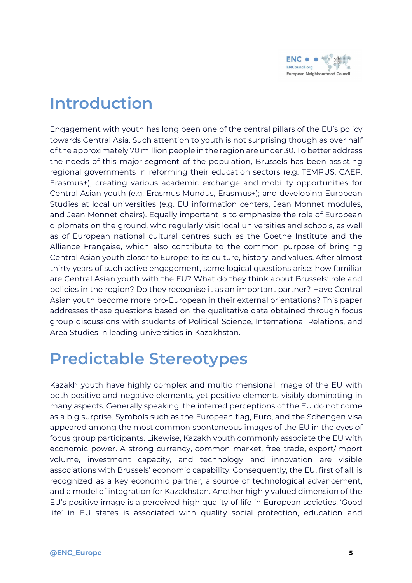

#### <span id="page-4-0"></span>**Introduction**

Engagement with youth has long been one of the central pillars of the EU's policy towards Central Asia. Such attention to youth is not surprising though as over half of the approximately 70 million people in the region are under 30. To better address the needs of this major segment of the population, Brussels has been assisting regional governments in reforming their education sectors (e.g. TEMPUS, CAEP, Erasmus+); creating various academic exchange and mobility opportunities for Central Asian youth (e.g. Erasmus Mundus, Erasmus+); and developing European Studies at local universities (e.g. EU information centers, Jean Monnet modules, and Jean Monnet chairs). Equally important is to emphasize the role of European diplomats on the ground, who regularly visit local universities and schools, as well as of European national cultural centres such as the Goethe Institute and the Alliance Française, which also contribute to the common purpose of bringing Central Asian youth closer to Europe: to its culture, history, and values. After almost thirty years of such active engagement, some logical questions arise: how familiar are Central Asian youth with the EU? What do they think about Brussels' role and policies in the region? Do they recognise it as an important partner? Have Central Asian youth become more pro-European in their external orientations? This paper addresses these questions based on the qualitative data obtained through focus group discussions with students of Political Science, International Relations, and Area Studies in leading universities in Kazakhstan.

#### <span id="page-4-1"></span>**Predictable Stereotypes**

Kazakh youth have highly complex and multidimensional image of the EU with both positive and negative elements, yet positive elements visibly dominating in many aspects. Generally speaking, the inferred perceptions of the EU do not come as a big surprise. Symbols such as the European flag, Euro, and the Schengen visa appeared among the most common spontaneous images of the EU in the eyes of focus group participants. Likewise, Kazakh youth commonly associate the EU with economic power. A strong currency, common market, free trade, export/import volume, investment capacity, and technology and innovation are visible associations with Brussels' economic capability. Consequently, the EU, first of all, is recognized as a key economic partner, a source of technological advancement, and a model of integration for Kazakhstan. Another highly valued dimension of the EU's positive image is a perceived high quality of life in European societies. 'Good life' in EU states is associated with quality social protection, education and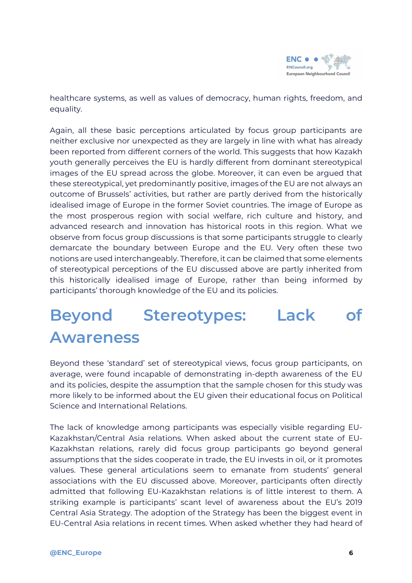

healthcare systems, as well as values of democracy, human rights, freedom, and equality.

Again, all these basic perceptions articulated by focus group participants are neither exclusive nor unexpected as they are largely in line with what has already been reported from different corners of the world. This suggests that how Kazakh youth generally perceives the EU is hardly different from dominant stereotypical images of the EU spread across the globe. Moreover, it can even be argued that these stereotypical, yet predominantly positive, images of the EU are not always an outcome of Brussels' activities, but rather are partly derived from the historically idealised image of Europe in the former Soviet countries. The image of Europe as the most prosperous region with social welfare, rich culture and history, and advanced research and innovation has historical roots in this region. What we observe from focus group discussions is that some participants struggle to clearly demarcate the boundary between Europe and the EU. Very often these two notions are used interchangeably. Therefore, it can be claimed that some elements of stereotypical perceptions of the EU discussed above are partly inherited from this historically idealised image of Europe, rather than being informed by participants' thorough knowledge of the EU and its policies.

## <span id="page-5-0"></span>**Beyond Stereotypes: Lack of Awareness**

Beyond these 'standard' set of stereotypical views, focus group participants, on average, were found incapable of demonstrating in-depth awareness of the EU and its policies, despite the assumption that the sample chosen for this study was more likely to be informed about the EU given their educational focus on Political Science and International Relations.

The lack of knowledge among participants was especially visible regarding EU-Kazakhstan/Central Asia relations. When asked about the current state of EU-Kazakhstan relations, rarely did focus group participants go beyond general assumptions that the sides cooperate in trade, the EU invests in oil, or it promotes values. These general articulations seem to emanate from students' general associations with the EU discussed above. Moreover, participants often directly admitted that following EU-Kazakhstan relations is of little interest to them. A striking example is participants' scant level of awareness about the EU's 2019 Central Asia Strategy. The adoption of the Strategy has been the biggest event in EU-Central Asia relations in recent times. When asked whether they had heard of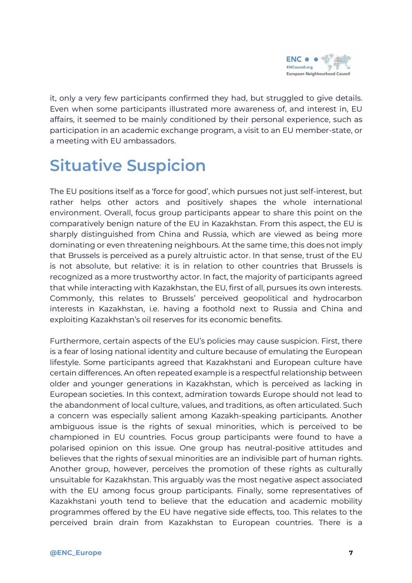

it, only a very few participants confirmed they had, but struggled to give details. Even when some participants illustrated more awareness of, and interest in, EU affairs, it seemed to be mainly conditioned by their personal experience, such as participation in an academic exchange program, a visit to an EU member-state, or a meeting with EU ambassadors.

# <span id="page-6-0"></span>**Situative Suspicion**

The EU positions itself as a 'force for good', which pursues not just self-interest, but rather helps other actors and positively shapes the whole international environment. Overall, focus group participants appear to share this point on the comparatively benign nature of the EU in Kazakhstan. From this aspect, the EU is sharply distinguished from China and Russia, which are viewed as being more dominating or even threatening neighbours. At the same time, this does not imply that Brussels is perceived as a purely altruistic actor. In that sense, trust of the EU is not absolute, but relative: it is in relation to other countries that Brussels is recognized as a more trustworthy actor. In fact, the majority of participants agreed that while interacting with Kazakhstan, the EU, first of all, pursues its own interests. Commonly, this relates to Brussels' perceived geopolitical and hydrocarbon interests in Kazakhstan, i.e. having a foothold next to Russia and China and exploiting Kazakhstan's oil reserves for its economic benefits.

Furthermore, certain aspects of the EU's policies may cause suspicion. First, there is a fear of losing national identity and culture because of emulating the European lifestyle. Some participants agreed that Kazakhstani and European culture have certain differences. An often repeated example is a respectful relationship between older and younger generations in Kazakhstan, which is perceived as lacking in European societies. In this context, admiration towards Europe should not lead to the abandonment of local culture, values, and traditions, as often articulated. Such a concern was especially salient among Kazakh-speaking participants. Another ambiguous issue is the rights of sexual minorities, which is perceived to be championed in EU countries. Focus group participants were found to have a polarised opinion on this issue. One group has neutral-positive attitudes and believes that the rights of sexual minorities are an indivisible part of human rights. Another group, however, perceives the promotion of these rights as culturally unsuitable for Kazakhstan. This arguably was the most negative aspect associated with the EU among focus group participants. Finally, some representatives of Kazakhstani youth tend to believe that the education and academic mobility programmes offered by the EU have negative side effects, too. This relates to the perceived brain drain from Kazakhstan to European countries. There is a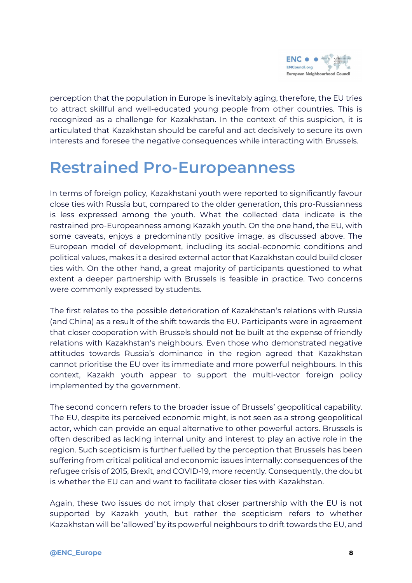

perception that the population in Europe is inevitably aging, therefore, the EU tries to attract skillful and well-educated young people from other countries. This is recognized as a challenge for Kazakhstan. In the context of this suspicion, it is articulated that Kazakhstan should be careful and act decisively to secure its own interests and foresee the negative consequences while interacting with Brussels.

## <span id="page-7-0"></span>**Restrained Pro-Europeanness**

In terms of foreign policy, Kazakhstani youth were reported to significantly favour close ties with Russia but, compared to the older generation, this pro-Russianness is less expressed among the youth. What the collected data indicate is the restrained pro-Europeanness among Kazakh youth. On the one hand, the EU, with some caveats, enjoys a predominantly positive image, as discussed above. The European model of development, including its social-economic conditions and political values, makes it a desired external actor that Kazakhstan could build closer ties with. On the other hand, a great majority of participants questioned to what extent a deeper partnership with Brussels is feasible in practice. Two concerns were commonly expressed by students.

The first relates to the possible deterioration of Kazakhstan's relations with Russia (and China) as a result of the shift towards the EU. Participants were in agreement that closer cooperation with Brussels should not be built at the expense of friendly relations with Kazakhstan's neighbours. Even those who demonstrated negative attitudes towards Russia's dominance in the region agreed that Kazakhstan cannot prioritise the EU over its immediate and more powerful neighbours. In this context, Kazakh youth appear to support the multi-vector foreign policy implemented by the government.

The second concern refers to the broader issue of Brussels' geopolitical capability. The EU, despite its perceived economic might, is not seen as a strong geopolitical actor, which can provide an equal alternative to other powerful actors. Brussels is often described as lacking internal unity and interest to play an active role in the region. Such scepticism is further fuelled by the perception that Brussels has been suffering from critical political and economic issues internally: consequences of the refugee crisis of 2015, Brexit, and COVID-19, more recently. Consequently, the doubt is whether the EU can and want to facilitate closer ties with Kazakhstan.

Again, these two issues do not imply that closer partnership with the EU is not supported by Kazakh youth, but rather the scepticism refers to whether Kazakhstan will be 'allowed' by its powerful neighbours to drift towards the EU, and